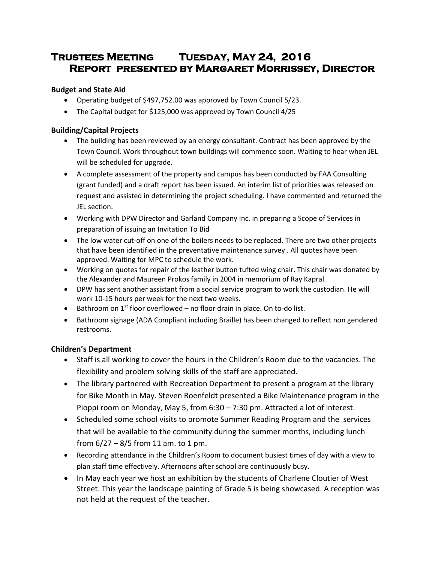# **Trustees Meeting Tuesday, May 24, 2016 Report presented by Margaret Morrissey, Director**

# **Budget and State Aid**

- Operating budget of \$497,752.00 was approved by Town Council 5/23.
- The Capital budget for \$125,000 was approved by Town Council 4/25

## **Building/Capital Projects**

- The building has been reviewed by an energy consultant. Contract has been approved by the Town Council. Work throughout town buildings will commence soon. Waiting to hear when JEL will be scheduled for upgrade.
- A complete assessment of the property and campus has been conducted by FAA Consulting (grant funded) and a draft report has been issued. An interim list of priorities was released on request and assisted in determining the project scheduling. I have commented and returned the JEL section.
- Working with DPW Director and Garland Company Inc. in preparing a Scope of Services in preparation of issuing an Invitation To Bid
- The low water cut-off on one of the boilers needs to be replaced. There are two other projects that have been identified in the preventative maintenance survey . All quotes have been approved. Waiting for MPC to schedule the work.
- Working on quotes for repair of the leather button tufted wing chair. This chair was donated by the Alexander and Maureen Prokos family in 2004 in memorium of Ray Kapral.
- DPW has sent another assistant from a social service program to work the custodian. He will work 10-15 hours per week for the next two weeks.
- **•** Bathroom on  $1^{st}$  floor overflowed no floor drain in place. On to-do list.
- Bathroom signage (ADA Compliant including Braille) has been changed to reflect non gendered restrooms.

# **Children's Department**

- Staff is all working to cover the hours in the Children's Room due to the vacancies. The flexibility and problem solving skills of the staff are appreciated.
- The library partnered with Recreation Department to present a program at the library for Bike Month in May. Steven Roenfeldt presented a Bike Maintenance program in the Pioppi room on Monday, May 5, from 6:30 – 7:30 pm. Attracted a lot of interest.
- Scheduled some school visits to promote Summer Reading Program and the services that will be available to the community during the summer months, including lunch from  $6/27 - 8/5$  from 11 am. to 1 pm.
- Recording attendance in the Children's Room to document busiest times of day with a view to plan staff time effectively. Afternoons after school are continuously busy.
- In May each year we host an exhibition by the students of Charlene Cloutier of West Street. This year the landscape painting of Grade 5 is being showcased. A reception was not held at the request of the teacher.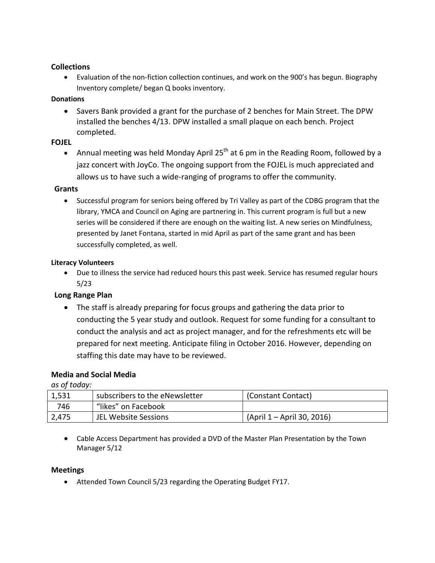### **Collections**

 Evaluation of the non-fiction collection continues, and work on the 900's has begun. Biography Inventory complete/ began Q books inventory.

## **Donations**

 Savers Bank provided a grant for the purchase of 2 benches for Main Street. The DPW installed the benches 4/13. DPW installed a small plaque on each bench. Project completed.

## **FOJEL**

Annual meeting was held Monday April 25<sup>th</sup> at 6 pm in the Reading Room, followed by a jazz concert with JoyCo. The ongoing support from the FOJEL is much appreciated and allows us to have such a wide-ranging of programs to offer the community.

## **Grants**

• Successful program for seniors being offered by Tri Valley as part of the CDBG program that the library, YMCA and Council on Aging are partnering in. This current program is full but a new series will be considered if there are enough on the waiting list. A new series on Mindfulness, presented by Janet Fontana, started in mid April as part of the same grant and has been successfully completed, as well.

## **Literacy Volunteers**

 Due to illness the service had reduced hours this past week. Service has resumed regular hours 5/23

# **Long Range Plan**

 The staff is already preparing for focus groups and gathering the data prior to conducting the 5 year study and outlook. Request for some funding for a consultant to conduct the analysis and act as project manager, and for the refreshments etc will be prepared for next meeting. Anticipate filing in October 2016. However, depending on staffing this date may have to be reviewed.

# **Media and Social Media**

*as of today:*

| 1,531 | subscribers to the eNewsletter | (Constant Contact)         |
|-------|--------------------------------|----------------------------|
| 746   | "likes" on Facebook            |                            |
| 2,475 | JEL Website Sessions           | (April 1 – April 30, 2016) |

 Cable Access Department has provided a DVD of the Master Plan Presentation by the Town Manager 5/12

#### **Meetings**

Attended Town Council 5/23 regarding the Operating Budget FY17.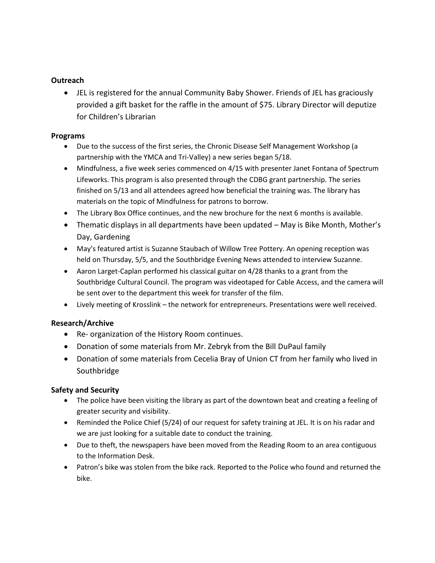#### **Outreach**

 JEL is registered for the annual Community Baby Shower. Friends of JEL has graciously provided a gift basket for the raffle in the amount of \$75. Library Director will deputize for Children's Librarian

#### **Programs**

- Due to the success of the first series, the Chronic Disease Self Management Workshop (a partnership with the YMCA and Tri-Valley) a new series began 5/18.
- Mindfulness, a five week series commenced on 4/15 with presenter Janet Fontana of Spectrum Lifeworks. This program is also presented through the CDBG grant partnership. The series finished on 5/13 and all attendees agreed how beneficial the training was. The library has materials on the topic of Mindfulness for patrons to borrow.
- The Library Box Office continues, and the new brochure for the next 6 months is available.
- Thematic displays in all departments have been updated May is Bike Month, Mother's Day, Gardening
- May's featured artist is Suzanne Staubach of Willow Tree Pottery. An opening reception was held on Thursday, 5/5, and the Southbridge Evening News attended to interview Suzanne.
- Aaron Larget-Caplan performed his classical guitar on 4/28 thanks to a grant from the Southbridge Cultural Council. The program was videotaped for Cable Access, and the camera will be sent over to the department this week for transfer of the film.
- Lively meeting of Krosslink the network for entrepreneurs. Presentations were well received.

#### **Research/Archive**

- Re- organization of the History Room continues.
- Donation of some materials from Mr. Zebryk from the Bill DuPaul family
- Donation of some materials from Cecelia Bray of Union CT from her family who lived in Southbridge

#### **Safety and Security**

- The police have been visiting the library as part of the downtown beat and creating a feeling of greater security and visibility.
- Reminded the Police Chief (5/24) of our request for safety training at JEL. It is on his radar and we are just looking for a suitable date to conduct the training.
- Due to theft, the newspapers have been moved from the Reading Room to an area contiguous to the Information Desk.
- Patron's bike was stolen from the bike rack. Reported to the Police who found and returned the bike.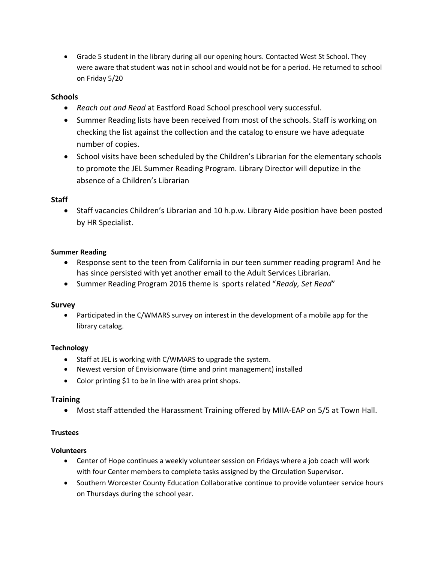Grade 5 student in the library during all our opening hours. Contacted West St School. They were aware that student was not in school and would not be for a period. He returned to school on Friday 5/20

## **Schools**

- *Reach out and Read* at Eastford Road School preschool very successful.
- Summer Reading lists have been received from most of the schools. Staff is working on checking the list against the collection and the catalog to ensure we have adequate number of copies.
- School visits have been scheduled by the Children's Librarian for the elementary schools to promote the JEL Summer Reading Program. Library Director will deputize in the absence of a Children's Librarian

## **Staff**

 Staff vacancies Children's Librarian and 10 h.p.w. Library Aide position have been posted by HR Specialist.

## **Summer Reading**

- Response sent to the teen from California in our teen summer reading program! And he has since persisted with yet another email to the Adult Services Librarian.
- Summer Reading Program 2016 theme is sports related "*Ready, Set Read*"

#### **Survey**

• Participated in the C/WMARS survey on interest in the development of a mobile app for the library catalog.

# **Technology**

- Staff at JEL is working with C/WMARS to upgrade the system.
- Newest version of Envisionware (time and print management) installed
- Color printing \$1 to be in line with area print shops.

#### **Training**

Most staff attended the Harassment Training offered by MIIA-EAP on 5/5 at Town Hall.

#### **Trustees**

#### **Volunteers**

- Center of Hope continues a weekly volunteer session on Fridays where a job coach will work with four Center members to complete tasks assigned by the Circulation Supervisor.
- Southern Worcester County Education Collaborative continue to provide volunteer service hours on Thursdays during the school year.